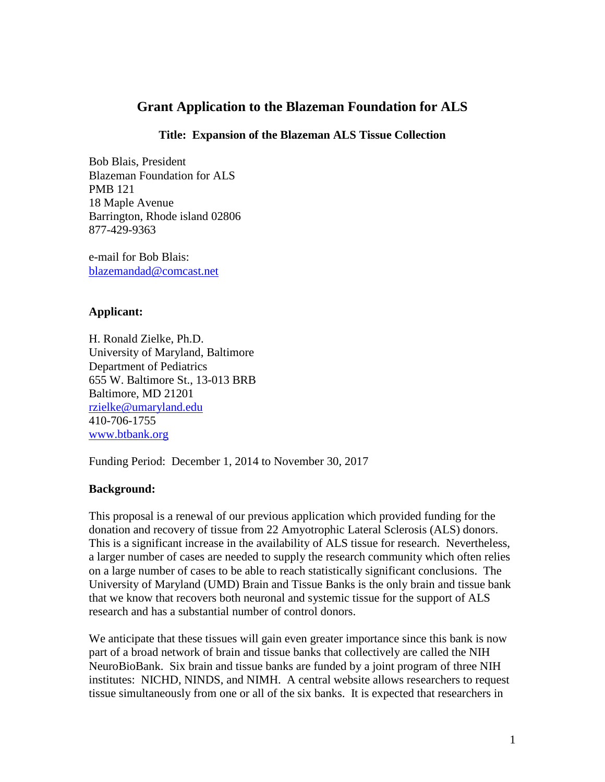# **Grant Application to the Blazeman Foundation for ALS**

### **Title: Expansion of the Blazeman ALS Tissue Collection**

Bob Blais, President Blazeman Foundation for ALS PMB 121 18 Maple Avenue Barrington, Rhode island 02806 877-429-9363

e-mail for Bob Blais: [blazemandad@comcast.net](mailto:blazemandad@comcast.net)

#### **Applicant:**

H. Ronald Zielke, Ph.D. University of Maryland, Baltimore Department of Pediatrics 655 W. Baltimore St., 13-013 BRB Baltimore, MD 21201 [rzielke@umaryland.edu](mailto:rzielke@umaryland.edu) 410-706-1755 [www.btbank.org](http://www.btbank.org/)

Funding Period: December 1, 2014 to November 30, 2017

## **Background:**

This proposal is a renewal of our previous application which provided funding for the donation and recovery of tissue from 22 Amyotrophic Lateral Sclerosis (ALS) donors. This is a significant increase in the availability of ALS tissue for research. Nevertheless, a larger number of cases are needed to supply the research community which often relies on a large number of cases to be able to reach statistically significant conclusions. The University of Maryland (UMD) Brain and Tissue Banks is the only brain and tissue bank that we know that recovers both neuronal and systemic tissue for the support of ALS research and has a substantial number of control donors.

We anticipate that these tissues will gain even greater importance since this bank is now part of a broad network of brain and tissue banks that collectively are called the NIH NeuroBioBank. Six brain and tissue banks are funded by a joint program of three NIH institutes: NICHD, NINDS, and NIMH. A central website allows researchers to request tissue simultaneously from one or all of the six banks. It is expected that researchers in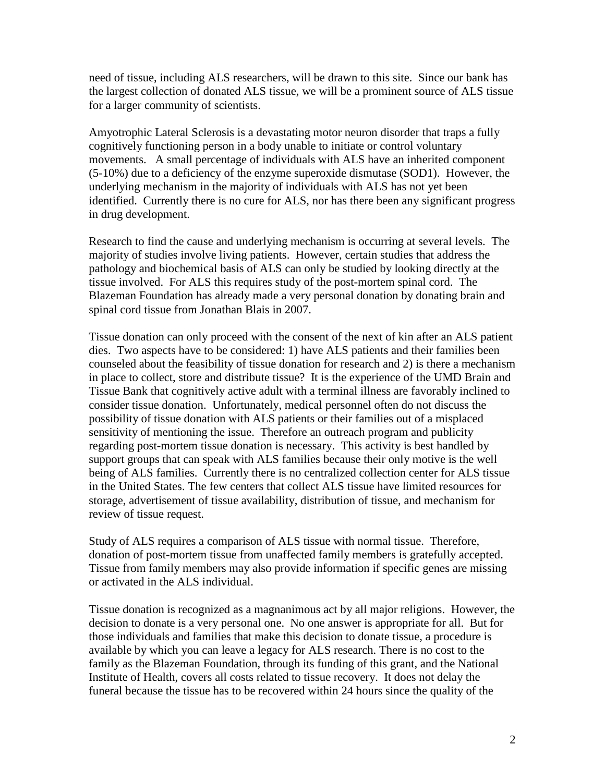need of tissue, including ALS researchers, will be drawn to this site. Since our bank has the largest collection of donated ALS tissue, we will be a prominent source of ALS tissue for a larger community of scientists.

Amyotrophic Lateral Sclerosis is a devastating motor neuron disorder that traps a fully cognitively functioning person in a body unable to initiate or control voluntary movements. A small percentage of individuals with ALS have an inherited component (5-10%) due to a deficiency of the enzyme superoxide dismutase (SOD1). However, the underlying mechanism in the majority of individuals with ALS has not yet been identified. Currently there is no cure for ALS, nor has there been any significant progress in drug development.

Research to find the cause and underlying mechanism is occurring at several levels. The majority of studies involve living patients. However, certain studies that address the pathology and biochemical basis of ALS can only be studied by looking directly at the tissue involved. For ALS this requires study of the post-mortem spinal cord. The Blazeman Foundation has already made a very personal donation by donating brain and spinal cord tissue from Jonathan Blais in 2007.

Tissue donation can only proceed with the consent of the next of kin after an ALS patient dies. Two aspects have to be considered: 1) have ALS patients and their families been counseled about the feasibility of tissue donation for research and 2) is there a mechanism in place to collect, store and distribute tissue? It is the experience of the UMD Brain and Tissue Bank that cognitively active adult with a terminal illness are favorably inclined to consider tissue donation. Unfortunately, medical personnel often do not discuss the possibility of tissue donation with ALS patients or their families out of a misplaced sensitivity of mentioning the issue. Therefore an outreach program and publicity regarding post-mortem tissue donation is necessary. This activity is best handled by support groups that can speak with ALS families because their only motive is the well being of ALS families. Currently there is no centralized collection center for ALS tissue in the United States. The few centers that collect ALS tissue have limited resources for storage, advertisement of tissue availability, distribution of tissue, and mechanism for review of tissue request.

Study of ALS requires a comparison of ALS tissue with normal tissue. Therefore, donation of post-mortem tissue from unaffected family members is gratefully accepted. Tissue from family members may also provide information if specific genes are missing or activated in the ALS individual.

Tissue donation is recognized as a magnanimous act by all major religions. However, the decision to donate is a very personal one. No one answer is appropriate for all. But for those individuals and families that make this decision to donate tissue, a procedure is available by which you can leave a legacy for ALS research. There is no cost to the family as the Blazeman Foundation, through its funding of this grant, and the National Institute of Health, covers all costs related to tissue recovery. It does not delay the funeral because the tissue has to be recovered within 24 hours since the quality of the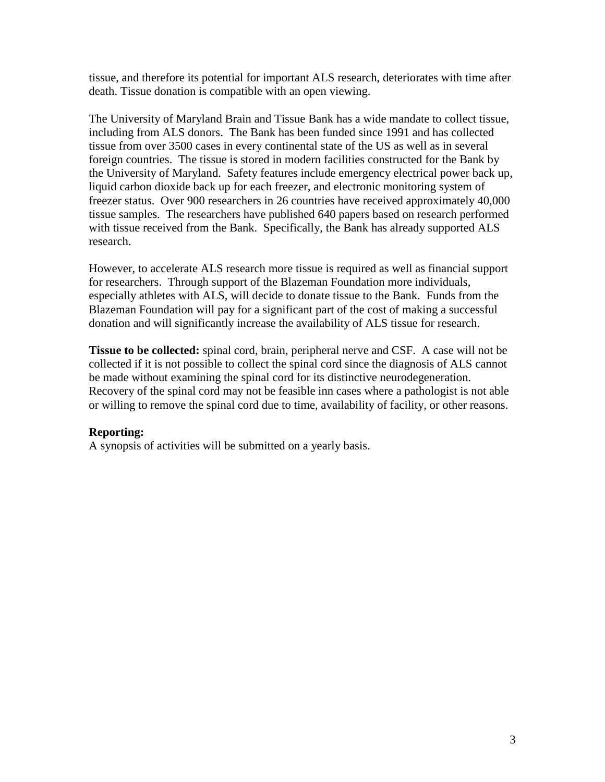tissue, and therefore its potential for important ALS research, deteriorates with time after death. Tissue donation is compatible with an open viewing.

The University of Maryland Brain and Tissue Bank has a wide mandate to collect tissue, including from ALS donors. The Bank has been funded since 1991 and has collected tissue from over 3500 cases in every continental state of the US as well as in several foreign countries. The tissue is stored in modern facilities constructed for the Bank by the University of Maryland. Safety features include emergency electrical power back up, liquid carbon dioxide back up for each freezer, and electronic monitoring system of freezer status. Over 900 researchers in 26 countries have received approximately 40,000 tissue samples. The researchers have published 640 papers based on research performed with tissue received from the Bank. Specifically, the Bank has already supported ALS research.

However, to accelerate ALS research more tissue is required as well as financial support for researchers. Through support of the Blazeman Foundation more individuals, especially athletes with ALS, will decide to donate tissue to the Bank. Funds from the Blazeman Foundation will pay for a significant part of the cost of making a successful donation and will significantly increase the availability of ALS tissue for research.

**Tissue to be collected:** spinal cord, brain, peripheral nerve and CSF. A case will not be collected if it is not possible to collect the spinal cord since the diagnosis of ALS cannot be made without examining the spinal cord for its distinctive neurodegeneration. Recovery of the spinal cord may not be feasible inn cases where a pathologist is not able or willing to remove the spinal cord due to time, availability of facility, or other reasons.

# **Reporting:**

A synopsis of activities will be submitted on a yearly basis.